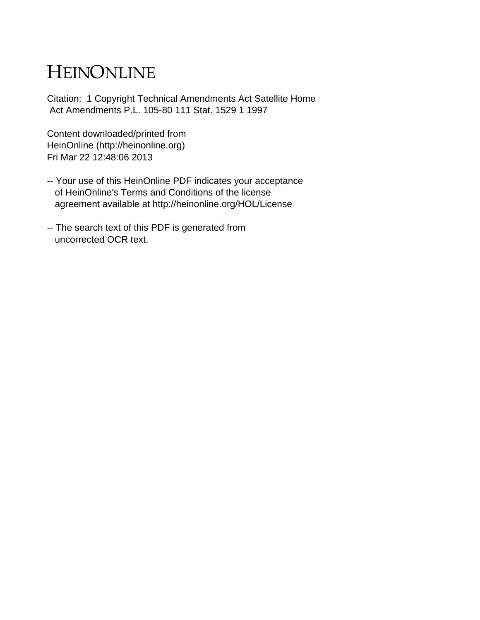# HEINONLINE

Citation: 1 Copyright Technical Amendments Act Satellite Home Act Amendments P.L. 105-80 111 Stat. 1529 1 1997

Content downloaded/printed from HeinOnline (http://heinonline.org) Fri Mar 22 12:48:06 2013

- -- Your use of this HeinOnline PDF indicates your acceptance of HeinOnline's Terms and Conditions of the license agreement available at http://heinonline.org/HOL/License
- -- The search text of this PDF is generated from uncorrected OCR text.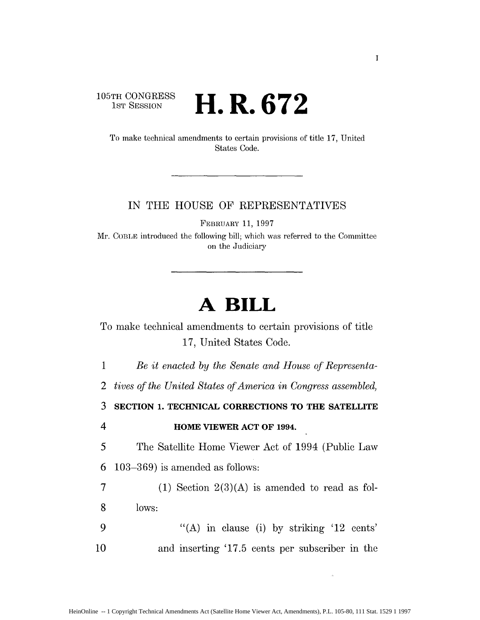#### 105TH CONGRESS **1ST SESSION H.R. 672**

To make technical amendments to certain provisions of title 17, United States Code.

# IN THE HOUSE OF REPRESENTATIVES

FEBRUARY 11, 1997

Mr. COBLE introduced the following bill; which was referred to the Committee on the Judiciary

# **A BILL**

To make technical amendments to certain provisions of title 17, United States Code.

1 *Be it enacted by the Senate and House of Representa-*

*2 tives* of *the United States of America in* Congress *assembled,*

**3 SECTION 1. TECHNICAL CORRECTIONS TO THE SATELLITE**

4 **HOME VIEWER ACT OF 1994.**

*5* The Satellite Home Viewer Act of 1994 (Public Law 6 103-369) is amended as follows:

7 (1) Section  $2(3)(A)$  is amended to read as fol-8 lows:

9 "(A) in clause (i) by striking '12 cents' 10 and inserting '17.5 cents per subscriber in the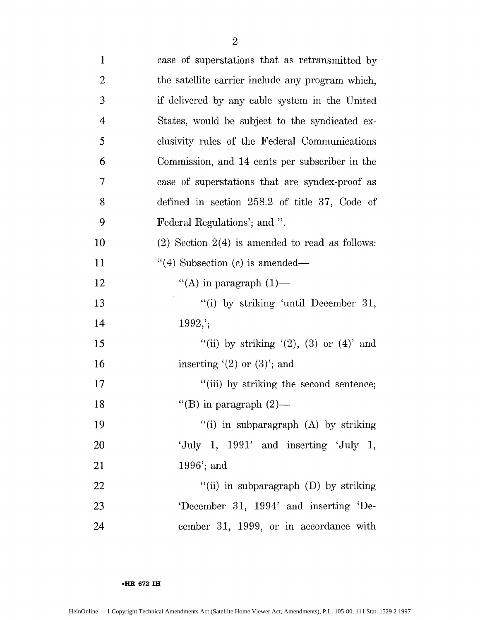| $\mathbf{1}$   | case of superstations that as retransmitted by      |
|----------------|-----------------------------------------------------|
| $\overline{2}$ | the satellite carrier include any program which,    |
| 3              | if delivered by any cable system in the United      |
| $\overline{4}$ | States, would be subject to the syndicated ex-      |
| 5              | clusivity rules of the Federal Communications       |
| 6              | Commission, and 14 cents per subscriber in the      |
| $\tau$         | case of superstations that are syndex-proof as      |
| 8              | defined in section $258.2$ of title 37, Code of     |
| 9              | Federal Regulations'; and ".                        |
| 10             | $(2)$ Section $2(4)$ is amended to read as follows: |
| 11             | $\lq(4)$ Subsection (c) is amended—                 |
| 12             | "(A) in paragraph $(1)$ —                           |
| 13             | "(i) by striking 'until December 31,                |
| 14             | $1992$ ;                                            |
| 15             | "(ii) by striking $(2)$ , $(3)$ or $(4)$ and        |
| 16             | inserting $(2)$ or $(3)$ ; and                      |
| 17             | "(iii) by striking the second sentence;             |
| 18             | "(B) in paragraph $(2)$ —                           |
| 19             | "(i) in subparagraph $(A)$ by striking              |
| 20             | 'July 1, $1991'$ and inserting 'July 1,             |
| 21             | $1996$ ; and                                        |
| 22             | "(ii) in subparagraph $(D)$ by striking             |
| 23             | 'December 31, 1994' and inserting 'De-              |
| 24             | cember 31, 1999, or in accordance with              |

**.**HR **672 1HI**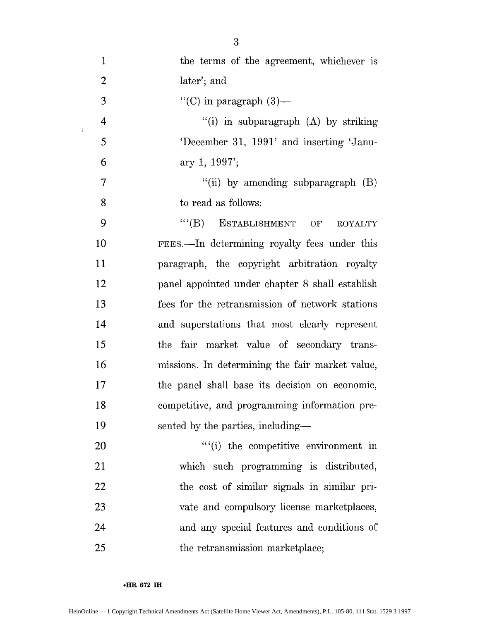| $\mathbf{1}$   | the terms of the agreement, whichever is        |
|----------------|-------------------------------------------------|
| $\overline{2}$ | later'; and                                     |
| 3              | "(C) in paragraph $(3)$ —                       |
| $\overline{4}$ | "(i) in subparagraph $(A)$ by striking          |
| 5              | 'December 31, 1991' and inserting 'Janu-        |
| 6              | ary 1, $1997$ ;                                 |
| 7              | "(ii) by amending subparagraph $(B)$            |
| 8              | to read as follows:                             |
| 9              | $``$ (B) ESTABLISHMENT OF<br><b>ROYALTY</b>     |
| 10             | FEES.—In determining royalty fees under this    |
| 11             | paragraph, the copyright arbitration royalty    |
| 12             | panel appointed under chapter 8 shall establish |
| 13             | fees for the retransmission of network stations |
| 14             | and superstations that most clearly represent   |
| 15             | fair market value of secondary trans-<br>the    |
| 16             | missions. In determining the fair market value, |
| 17             | the panel shall base its decision on economic,  |
| 18             | competitive, and programming information pre-   |
| 19             | sented by the parties, including—               |
| 20             | ""(i) the competitive environment in            |
| 21             | which such programming is distributed,          |
| 22             | the cost of similar signals in similar pri-     |
| 23             | vate and compulsory license marketplaces,       |
| 24             | and any special features and conditions of      |
| 25             | the retransmission marketplace;                 |

**eHR 672 1H**

 $\sim 20$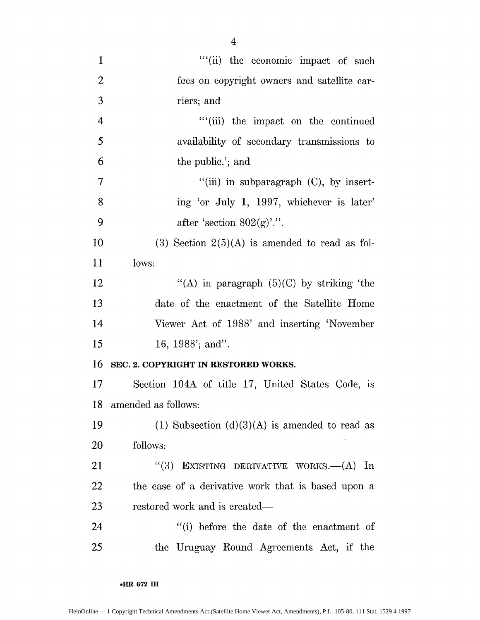| $\mathbf{1}$   | ""(ii) the economic impact of such                          |
|----------------|-------------------------------------------------------------|
| $\overline{2}$ | fees on copyright owners and satellite car-                 |
| 3              | riers; and                                                  |
| $\overline{4}$ | "(iii) the impact on the continued                          |
| 5              | availability of secondary transmissions to                  |
| 6              | the public.'; and                                           |
| $\overline{7}$ | $\lq$ <sup>"</sup> (iii) in subparagraph $(C)$ , by insert- |
| 8              | ing 'or July 1, 1997, whichever is later'                   |
| 9              | after 'section $802(g)$ '.''.                               |
| 10             | $(3)$ Section $2(5)(A)$ is amended to read as fol-          |
| 11             | lows:                                                       |
| 12             | "(A) in paragraph $(5)(C)$ by striking 'the                 |
| 13             | date of the enactment of the Satellite Home                 |
| 14             | Viewer Act of 1988' and inserting 'November                 |
| 15             | 16, 1988'; and".                                            |
| 16             | SEC. 2. COPYRIGHT IN RESTORED WORKS.                        |
| 17             | Section 104A of title 17, United States Code, is            |
| 18             | amended as follows:                                         |
| 19             | (1) Subsection $(d)(3)(A)$ is amended to read as            |
| 20             | follows:                                                    |
| 21             | EXISTING DERIVATIVE WORKS.-- (A) In<br>(3)                  |
| 22             | the case of a derivative work that is based upon a          |
| 23             | restored work and is created—                               |
| 24             | "(i) before the date of the enactment of                    |
| 25             | the Uruguay Round Agreements Act, if the                    |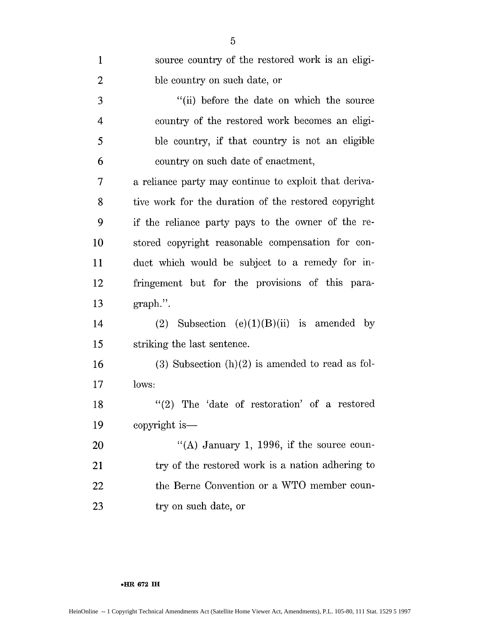| $\mathbf{1}$   | source country of the restored work is an eligi-      |
|----------------|-------------------------------------------------------|
| $\overline{2}$ | ble country on such date, or                          |
| 3              | "(ii) before the date on which the source             |
| $\overline{4}$ | country of the restored work becomes an eligi-        |
| 5              | ble country, if that country is not an eligible       |
| 6              | country on such date of enactment,                    |
| $\tau$         | a reliance party may continue to exploit that deriva- |
| 8              | tive work for the duration of the restored copyright  |
| 9              | if the reliance party pays to the owner of the re-    |
| 10             | stored copyright reasonable compensation for con-     |
| 11             | duct which would be subject to a remedy for in-       |
| 12             | fringement but for the provisions of this para-       |
| 13             | $graph.$ ".                                           |
| 14             | (2) Subsection $(e)(1)(B)(ii)$ is amended by          |
| 15             | striking the last sentence.                           |
| 16             | $(3)$ Subsection $(h)(2)$ is amended to read as fol-  |
| 17             | lows:                                                 |
| 18             | $''(2)$ The 'date of restoration' of a restored       |
| 19             | copyright is—                                         |
| 20             | "(A) January 1, 1996, if the source coun-             |
| 21             | try of the restored work is a nation adhering to      |
| 22             | the Berne Convention or a WTO member coun-            |
| 23             | try on such date, or                                  |

## **\*HR 672 IH**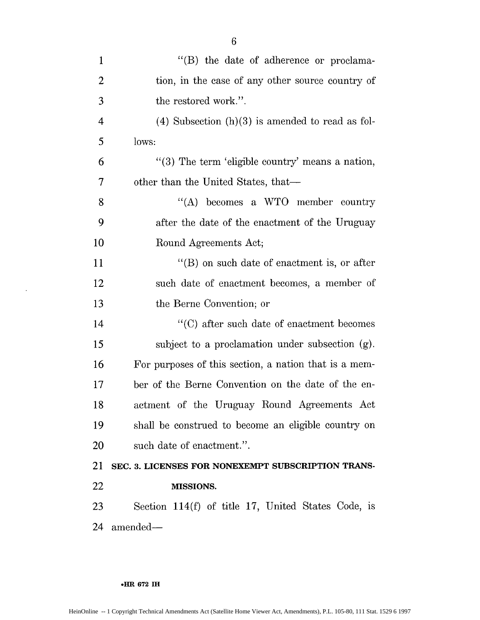| $\mathbf{1}$             | "(B) the date of adherence or proclama-               |
|--------------------------|-------------------------------------------------------|
| $\overline{2}$           | tion, in the case of any other source country of      |
| 3                        | the restored work.".                                  |
| 4                        | $(4)$ Subsection $(h)(3)$ is amended to read as fol-  |
| 5                        | lows:                                                 |
| 6                        | "(3) The term 'eligible country' means a nation,      |
| $\overline{\mathcal{I}}$ | other than the United States, that—                   |
| 8                        | "(A) becomes a WTO member country                     |
| 9                        | after the date of the enactment of the Uruguay        |
| 10                       | Round Agreements Act;                                 |
| 11                       | $\lq\lq (B)$ on such date of enactment is, or after   |
| 12                       | such date of enactment becomes, a member of           |
| 13                       | the Berne Convention; or                              |
| 14                       | "(C) after such date of enactment becomes             |
| 15                       | subject to a proclamation under subsection (g).       |
| 16                       | For purposes of this section, a nation that is a mem- |
| 17                       | ber of the Berne Convention on the date of the en-    |
| 18                       | actment of the Uruguay Round Agreements Act           |
| 19                       | shall be construed to become an eligible country on   |
| 20                       | such date of enactment.".                             |
| 21                       | SEC. 3. LICENSES FOR NONEXEMPT SUBSCRIPTION TRANS-    |
| 22                       | <b>MISSIONS.</b>                                      |
| 23                       | Section 114 $(f)$ of title 17, United States Code, is |
| 24                       | amended—                                              |
|                          |                                                       |

 $\langle \cdot \rangle$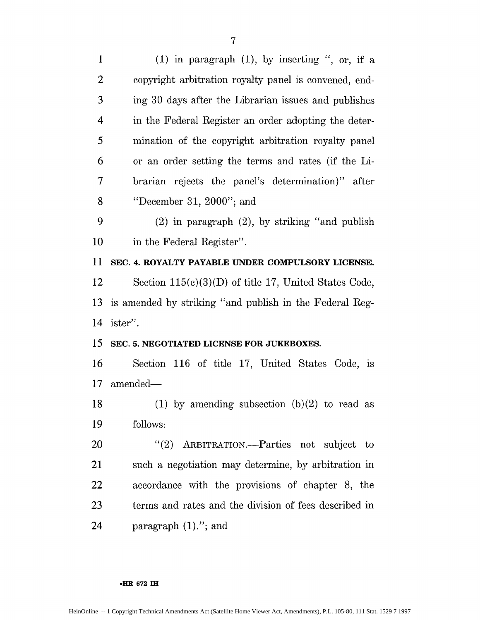| $\mathbf{1}$   | $(1)$ in paragraph $(1)$ , by inserting ", or, if a     |
|----------------|---------------------------------------------------------|
| $\overline{c}$ | copyright arbitration royalty panel is convened, end-   |
| 3              | ing 30 days after the Librarian issues and publishes    |
| 4              | in the Federal Register an order adopting the deter-    |
| 5              | mination of the copyright arbitration royalty panel     |
| 6              | or an order setting the terms and rates (if the Li-     |
| 7              | brarian rejects the panel's determination)" after       |
| 8              | "December 31, $2000$ "; and                             |
| 9              | $(2)$ in paragraph $(2)$ , by striking "and publish"    |
| 10             | in the Federal Register".                               |
| 11             | SEC. 4. ROYALTY PAYABLE UNDER COMPULSORY LICENSE.       |
| 12             | Section $115(c)(3)(D)$ of title 17, United States Code, |
|                |                                                         |
| 13             | is amended by striking "and publish in the Federal Reg- |
| 14             | ister".                                                 |
| 15             | SEC. 5. NEGOTIATED LICENSE FOR JUKEBOXES.               |
| 16             | Section 116 of title 17, United States Code, is         |
| 17             | amended—                                                |
| 18             | (1) by amending subsection $(b)(2)$ to read as          |
| 19             | follows:                                                |
| 20             | "(2) ARBITRATION.—Parties not subject to                |
| 21             | such a negotiation may determine, by arbitration in     |
| 22             | accordance with the provisions of chapter 8, the        |
| 23             | terms and rates and the division of fees described in   |

### **eHR 672 IH**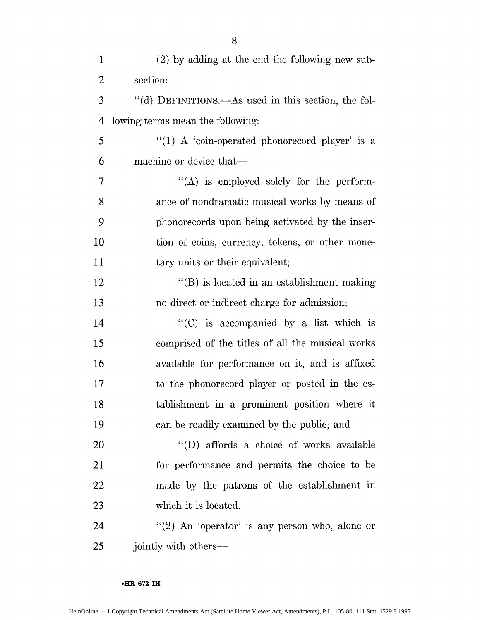| $\mathbf{1}$   | (2) by adding at the end the following new sub-     |
|----------------|-----------------------------------------------------|
| $\overline{2}$ | section:                                            |
| 3              | "(d) DEFINITIONS.—As used in this section, the fol- |
| 4              | lowing terms mean the following:                    |
| 5              | "(1) A 'coin-operated phonorecord player' is a      |
| 6              | machine or device that-                             |
| 7              | "(A) is employed solely for the perform-            |
| 8              | ance of nondramatic musical works by means of       |
| 9              | phonorecords upon being activated by the inser-     |
| 10             | tion of coins, currency, tokens, or other mone-     |
| 11             | tary units or their equivalent;                     |
| 12             | $\lq\lq$ is located in an establishment making      |
| 13             | no direct or indirect charge for admission;         |
| 14             | $\lq\lq$ (C) is accompanied by a list which is      |
| 15             | comprised of the titles of all the musical works    |
| 16             | available for performance on it, and is affixed     |
| 17             | to the phonorecord player or posted in the es-      |
| 18             | tablishment in a prominent position where it        |
| 19             | can be readily examined by the public; and          |
| 20             | "(D) affords a choice of works available            |
| 21             | for performance and permits the choice to be        |
| <u>22</u>      | made by the patrons of the establishment in         |
| 23             | which it is located.                                |
| 24             | "(2) An 'operator' is any person who, alone or      |
| 25             | jointly with others-                                |

### **°HR 672 IH**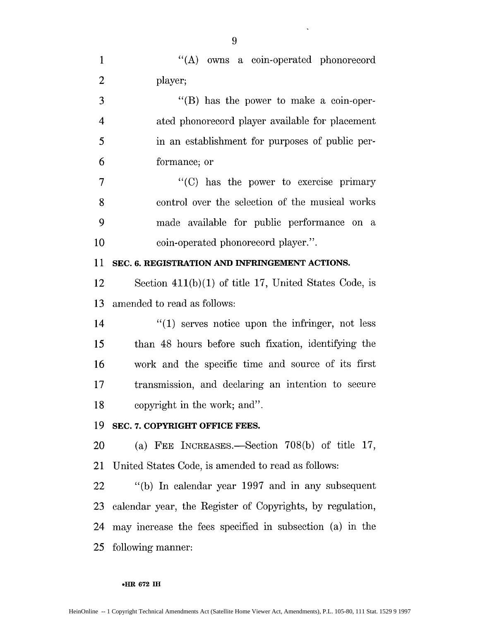| $\mathbf{1}$   | "(A) owns a coin-operated phonorecord                     |
|----------------|-----------------------------------------------------------|
| $\overline{2}$ | player;                                                   |
| 3              | $\lq\lq$ (B) has the power to make a coin-oper-           |
| 4              | ated phonorecord player available for placement           |
| 5              | in an establishment for purposes of public per-           |
| 6              | formance; or                                              |
| 7              | $\lq\lq$ (C) has the power to exercise primary            |
| 8              | control over the selection of the musical works           |
| 9              | made available for public performance on a                |
| 10             | coin-operated phonorecord player.".                       |
| 11             | SEC. 6. REGISTRATION AND INFRINGEMENT ACTIONS.            |
| 12             | Section $411(b)(1)$ of title 17, United States Code, is   |
| 13             | amended to read as follows:                               |
| 14             | $\lq(1)$ serves notice upon the infringer, not less       |
| 15             | than 48 hours before such fixation, identifying the       |
| 16             | work and the specific time and source of its first        |
| 17             | transmission, and declaring an intention to secure        |
| 18             | copyright in the work; and".                              |
| 19             | SEC. 7. COPYRIGHT OFFICE FEES.                            |
| 20             | (a) FEE INCREASES.—Section $708(b)$ of title 17,          |
| 21             | United States Code, is amended to read as follows:        |
| 22             | "(b) In calendar year 1997 and in any subsequent          |
| 23             | calendar year, the Register of Copyrights, by regulation, |
| 24             | may increase the fees specified in subsection (a) in the  |
| 25             | following manner:                                         |

9

 $\bar{\mathcal{A}}$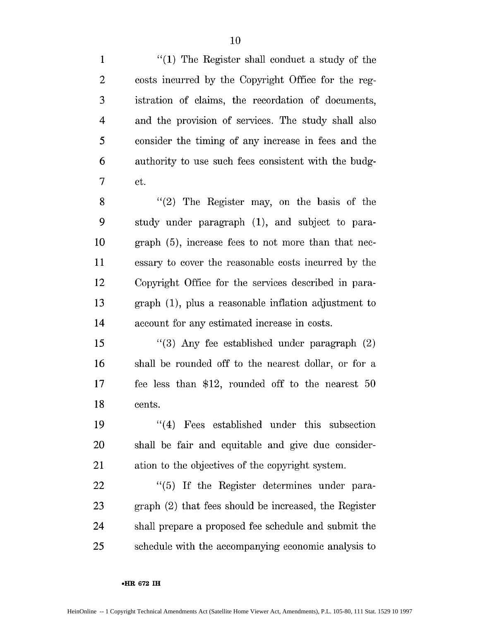1 "(1) The Register shall conduct a study of the 2 costs incurred by the Copyright Office for the reg-3 istration of claims, the recordation of documents, 4 and the provision of services. The study shall also 5 consider the timing of any increase in fees and the 6 authority to use such fees consistent with the budg-7 et.

8 "(2) The Register may, on the basis of the 9 study under paragraph (1), and subject to para-10 graph (5), increase fees to not more than that nec-11 essary to cover the reasonable costs incurred by the 12 Copyright Office for the services described in para-13 graph (1), plus a reasonable inflation adjustment to 14 account for any estimated increase in costs.

15 "(3) Any fee established under paragraph (2) 16 shall be rounded off to the nearest dollar, or for a 17 fee less than \$12, rounded off to the nearest 50 18 cents.

19 "(4) Fees established under this subsection 20 shall be fair and equitable and give due consider-21 ation to the objectives of the copyright system.

22 "(5) If the Register determines under para-23 graph (2) that fees should be increased, the Register 24 shall prepare a proposed fee schedule and submit the 25 schedule with the accompanying economic analysis to

#### **oHR 672 1H**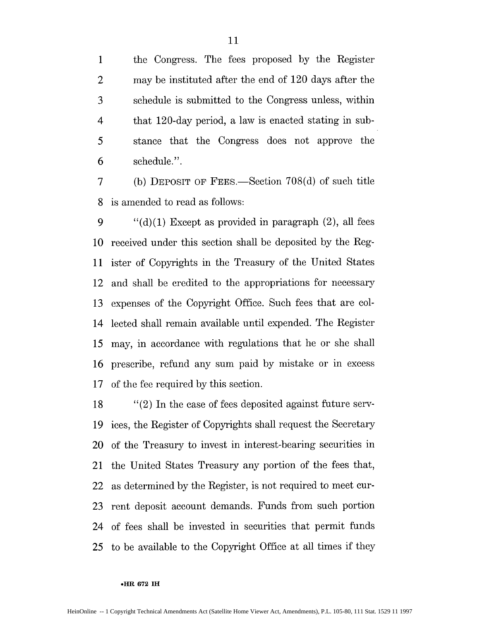the Congress. The fees proposed **by** the Register 2 may be instituted after the end of 120 days after the schedule is submitted to the Congress unless, within 4 that 120-day period, a law is enacted stating in sub-stance that the Congress does not approve the schedule.".

**7 (b)** DEPOSIT OF FEES.-Section **708(d)** of such title **8** is amended to read as follows:

**9 "(d)(1)** Except as provided in paragraph (2), all fees received under this section shall be deposited **by** the Reg-ister of Copyrights in the Treasury of the United States 12 and shall be credited to the appropriations for necessary expenses of the Copyright Office. Such fees that are col-14 lected shall remain available until expended. The Register may, in accordance with regulations that he or she shall prescribe, refund any sum paid **by** mistake or in excess of the fee required **by** this section.

**18** "(2) **In** the case of fees deposited against future serv-**19 ices,** the Register of Copyrights shall request the Secretary 20 of the Treasury to invest in interest-bearing securities in 21 the United States Treasury any portion of the fees that, 22 as determined **by** the Register, is not required to meet cur-**23** rent deposit account demands. Funds from such portion 24 of fees shall be invested in securities that permit funds **25** to be available to the Copyright Office at all times **if** they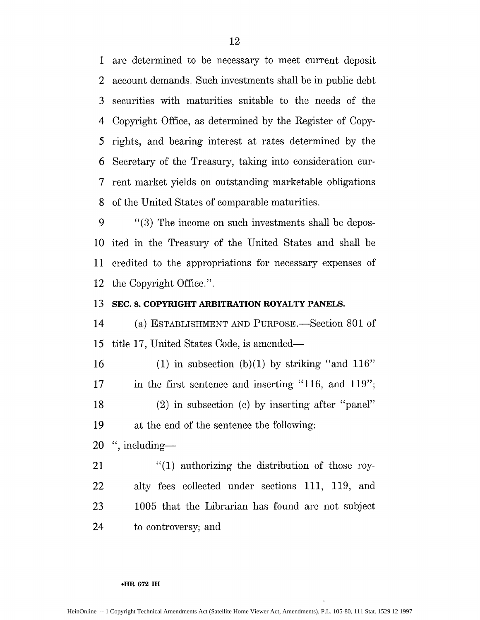1 are determined to be necessary to meet current deposit 2 account demands. Such investments shall be in public debt 3 securities with maturities suitable to the needs of the 4 Copyright Office, as determined by the Register of Copy-5 rights, and bearing interest at rates determined by the 6 Secretary of the Treasury, taking into consideration cur-7 rent market yields on outstanding marketable obligations 8 of the United States of comparable maturities.

9 "(3) The income on such investments shall be depos-10 ited in the Treasury of the United States and shall be 11 credited to the appropriations for necessary expenses of 12 the Copyright Office.".

# **13 SEC. 8. COPYRIGHT ARBITRATION ROYALTY PANELS.**

14 (a) ESTABLISHMENT AND PURPOSE.—Section 801 of 15 title 17, United States Code, is amended-

16 (1) in subsection (b)(1) by striking "and  $116"$ 17 in the first sentence and inserting "116, and 119"; 18 (2) in subsection (c) by inserting after "panel" 19 at the end of the sentence the following:

 $20$  ", including-

21 "(1) authorizing the distribution of those roy-22 alty fees collected under sections 111, 119, and 23 1005 that the Librarian has found are not subject 24 to controversy; and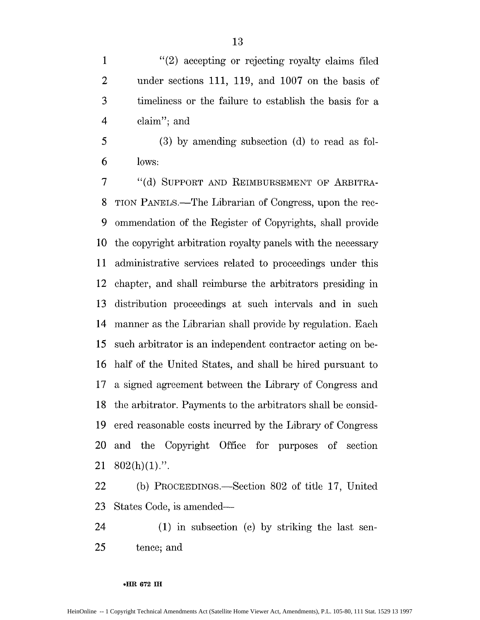1 "(2) accepting or rejecting royalty claims filed 2 under sections 111, 119, and 1007 on the basis of 3 timeliness or the failure to establish the basis for a 4 claim"; and

5 (3) by amending subsection (d) to read as fol-**6** lows:

7 "(d) SUPPORT AND REIMBURSEMENT OF ARBITRA-8 TION PANELS.-The Librarian of Congress, upon the rec-9 ommendation of the Register of Copyrights, shall provide 10 the copyright arbitration royalty panels with the necessary 11 administrative services related to proceedings under this 12 chapter, and shall reimburse the arbitrators presiding in 13 distribution proceedings at such intervals and in such 14 manner as the Librarian shall provide by regulation. Each 15 such arbitrator is an independent contractor acting on be-16 half of the United States, and shall be hired pursuant to 17 a signed agreement betveen the Library of Congress and 18 the arbitrator. Payments to the arbitrators shall be consid-19 ered reasonable costs incurred by the Library of Congress 20 and the Copyright Office for purposes of section  $21 \quad 802(h)(1)$ .".

22 (b) PROCEEDINGS.—Section 802 of title 17, United 23 States Code, is amended-

24 (1) in subsection (c) by striking the last sen-25 tence; and

#### **\*HR 672 IH**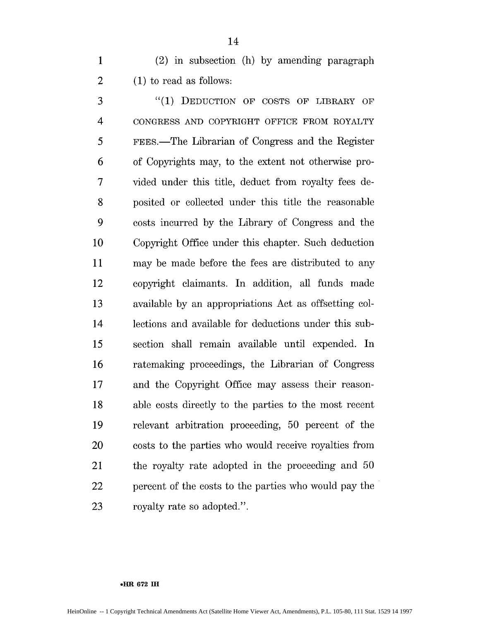**1** (2) in subsection (h) by amending paragraph 2 (1) to read as follows:

3 "(1) DEDUCTION OF COSTS OF LIBRARY OF 4 CONGRESS AND COPYRIGHT OFFICE FROM ROYALTY 5 FEES.-The Librarian of Congress and the Register 6 of Copyrights may, to the extent not otherwise pro-7 vided under this title, deduct from royalty fees de-8 posited or collected under this title the reasonable 9 costs incurred by the Library of Congress and the 10 Copyright Office under this chapter. Such deduction 11 may be made before the fees are distributed to any 12 copyright claimants. In addition, all funds made 13 available by an appropriations Act as offsetting col-14 lections and available for deductions under this sub-15 section shall remain available until expended. In 16 ratemaking proceedings, the Librarian of Congress 17 and the Copyright Office may assess their reason-18 able costs directly to the parties to the most recent 19 relevant arbitration proceeding, 50 percent of the 20 costs to the parties who would receive royalties from 21 the royalty rate adopted in the proceeding and 50 22 percent of the costs to the parties who would pay the 23 royalty rate so adopted.".

#### **•HIR 672 IH**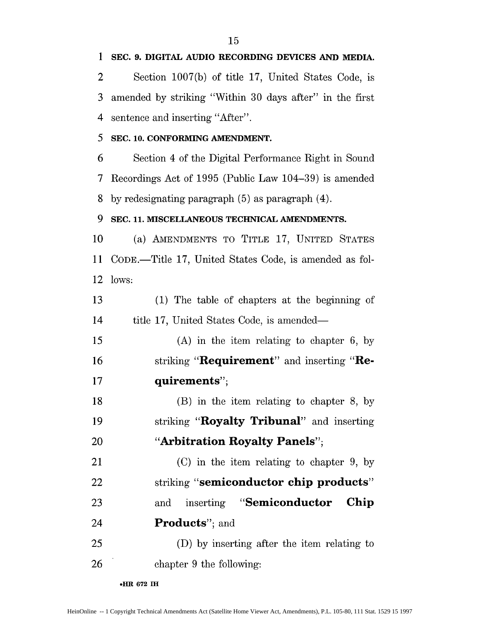2 Section 1007(b) of title 17, United States Code, is 3 amended by striking "Within 30 days after" in the first 4 sentence and inserting "After".

# 5 **SEC. 10. CONFORMING AMENDMENT.**

**6** Section 4 of the Digital Performance Right in Sound 7 Recordings Act of 1995 (Public Law 104-39) is amended 8 by redesignating paragraph  $(5)$  as paragraph  $(4)$ .

# **9 SEC. 11. MISCELLANEOUS TECHNICAL AMENDMENTS.**

10 (a) AMENDMENTS TO TITLE 17, UNITED STATES **11** CODE.-Title 17, United States Code, is amended as fol-12 lows:

13 (1) The table of chapters at the beginning of 14 title 17, United States Code, is amended—

*15* (A) in the item relating to chapter 6, by 16 **Striking "Requirement**" and inserting "Re-**17 quirements";**

18 (B) in the item relating to chapter 8, by 19 striking "**Royalty Tribunal**" and inserting 20 **"Arbitration Royalty Panels";**

21 (C) in the item relating to chapter 9, by 22 striking **"semiconductor chip products" 23** and inserting **"Semiconductor Chip** 24 **Products**"; and

**25 (D)** by inserting after the item relating to **26** chapter 9 the following:

**9HR 672 IH**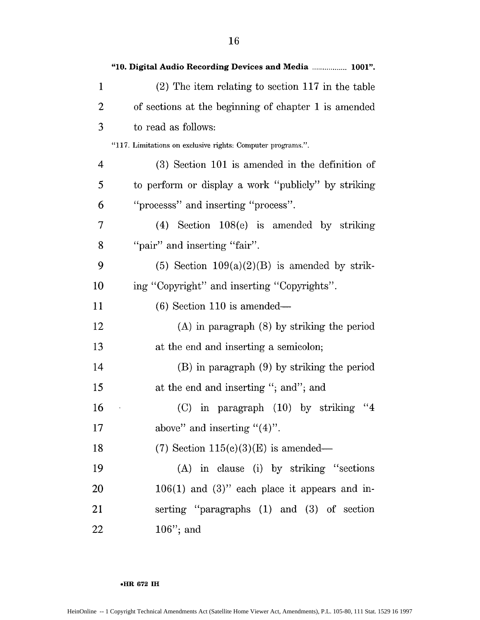|              | "10. Digital Audio Recording Devices and Media  1001".      |
|--------------|-------------------------------------------------------------|
| $\mathbf{1}$ | $(2)$ The item relating to section 117 in the table         |
| 2            | of sections at the beginning of chapter 1 is amended        |
| 3            | to read as follows:                                         |
|              | "117. Limitations on exclusive rights: Computer programs.". |
| 4            | $(3)$ Section 101 is amended in the definition of           |
| 5            | to perform or display a work "publicly" by striking         |
| 6            | "processs" and inserting "process".                         |
| 7            | $(4)$ Section 108 $(e)$ is amended by striking              |
| 8            | "pair" and inserting "fair".                                |
| 9            | (5) Section $109(a)(2)(B)$ is amended by strik-             |
| 10           | ing "Copyright" and inserting "Copyrights".                 |
| 11           | $(6)$ Section 110 is amended—                               |
| 12           | $(A)$ in paragraph $(8)$ by striking the period             |
| 13           | at the end and inserting a semicolon;                       |
| 14           | $(B)$ in paragraph $(9)$ by striking the period             |
| 15           | at the end and inserting "; and"; and                       |
| 16           | $(C)$ in paragraph $(10)$ by striking<br>"4                 |
| 17           | above" and inserting " $(4)$ ".                             |
| 18           | $(7)$ Section 115(c)(3)(E) is amended—                      |
| 19           | (A) in clause (i) by striking "sections                     |
| 20           | $106(1)$ and $(3)$ " each place it appears and in-          |
| 21           | serting "paragraphs (1) and (3) of section                  |
| 22           | $106$ "; and                                                |

• -R **672 IH**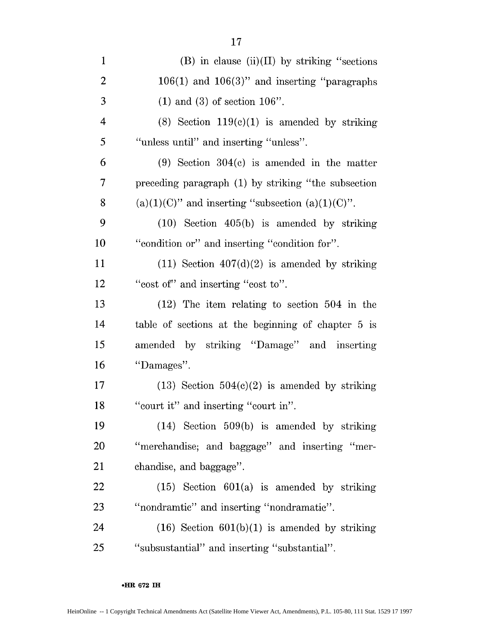| $\mathbf{1}$   | $(B)$ in clause $(ii)(II)$ by striking "sections"      |
|----------------|--------------------------------------------------------|
| $\overline{2}$ | $106(1)$ and $106(3)$ " and inserting "paragraphs      |
| 3              | $(1)$ and $(3)$ of section 106".                       |
| $\overline{4}$ | $(8)$ Section 119 $(e)(1)$ is amended by striking      |
| 5              | "unless until" and inserting "unless".                 |
| 6              | $(9)$ Section 304 $(c)$ is amended in the matter       |
| 7              | preceding paragraph (1) by striking "the subsection    |
| 8              | $(a)(1)(C)$ " and inserting "subsection $(a)(1)(C)$ ". |
| 9              | $(10)$ Section $405(b)$ is amended by striking         |
| 10             | "condition or" and inserting "condition for".          |
| 11             | $(11)$ Section $407(d)(2)$ is amended by striking      |
| 12             | "cost of" and inserting "cost to".                     |
| 13             | $(12)$ The item relating to section 504 in the         |
| 14             | table of sections at the beginning of chapter 5 is     |
| 15             | amended by striking "Damage" and inserting             |
| 16             | "Damages".                                             |
| 17             | $(13)$ Section $504(c)(2)$ is amended by striking      |
| 18             | "court it" and inserting "court in".                   |
| 19             | $(14)$ Section 509(b) is amended by striking           |
| 20             | "merchandise; and baggage" and inserting "mer-         |
| 21             | chandise, and baggage".                                |
| 22             | $(15)$ Section $601(a)$ is amended by striking         |
| 23             | "nondramtic" and inserting "nondramatic".              |
| 24             | $(16)$ Section $601(b)(1)$ is amended by striking      |
| 25             | "subsustantial" and inserting "substantial".           |

**oHR 672 IH**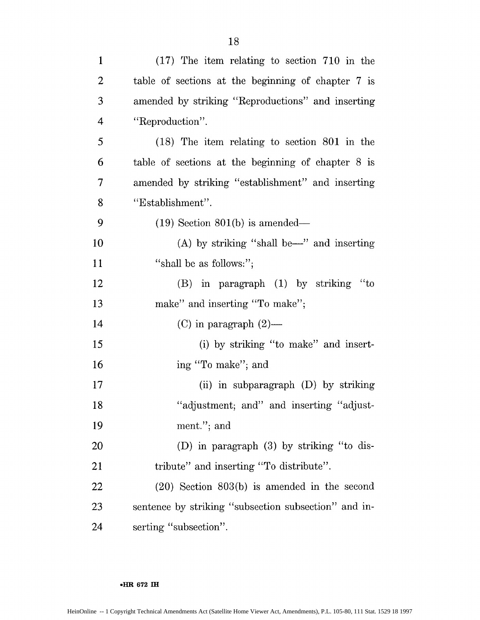| $\mathbf{1}$   | $(17)$ The item relating to section 710 in the       |
|----------------|------------------------------------------------------|
| 2              | table of sections at the beginning of chapter 7 is   |
| 3              | amended by striking "Reproductions" and inserting    |
| $\overline{4}$ | "Reproduction".                                      |
| 5              | $(18)$ The item relating to section 801 in the       |
| 6              | table of sections at the beginning of chapter $8$ is |
| 7              | amended by striking "establishment" and inserting    |
| 8              | "Establishment".                                     |
| 9              | $(19)$ Section 801(b) is amended—                    |
| 10             | $(A)$ by striking "shall be—" and inserting          |
| 11             | "shall be as follows:";                              |
| 12             | (B) in paragraph (1) by striking "to                 |
| 13             | make" and inserting "To make";                       |
| 14             | $(C)$ in paragraph $(2)$ —                           |
| 15             | (i) by striking "to make" and insert-                |
| 16             | ing "To make"; and                                   |
| 17             | (ii) in subparagraph $(D)$ by striking               |
| 18             | "adjustment; and" and inserting "adjust-             |
| 19             | ment."; and                                          |
| 20             | (D) in paragraph (3) by striking "to dis-            |
| 21             | tribute" and inserting "To distribute".              |
| 22             | $(20)$ Section $803(b)$ is amended in the second     |
| 23             | sentence by striking "subsection subsection" and in- |
| 24             | serting "subsection".                                |

**•HR 672 IH**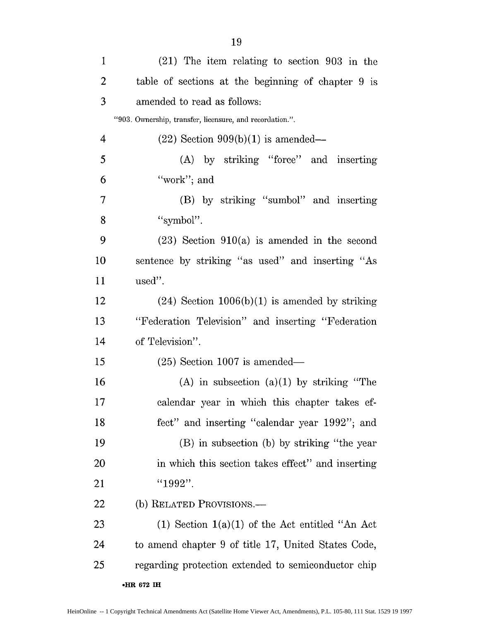| $\mathbf{1}$   | $(21)$ The item relating to section 903 in the           |
|----------------|----------------------------------------------------------|
| $\overline{2}$ | table of sections at the beginning of chapter 9 is       |
| 3              | amended to read as follows:                              |
|                | "903. Ownership, transfer, licensure, and recordation.". |
| 4              | $(22)$ Section 909(b)(1) is amended—                     |
| 5              | (A) by striking "force" and inserting                    |
| 6              | "work"; and                                              |
| 7              | (B) by striking "sumbol" and inserting                   |
| 8              | "symbol".                                                |
| 9              | $(23)$ Section $910(a)$ is amended in the second         |
| 10             | sentence by striking "as used" and inserting "As         |
| 11             | used".                                                   |
| 12             | $(24)$ Section 1006(b)(1) is amended by striking         |
| 13             | "Federation Television" and inserting "Federation"       |
| 14             | of Television".                                          |
| 15             | $(25)$ Section 1007 is amended—                          |
| 16             | $(A)$ in subsection $(a)(1)$ by striking "The            |
| 17             | calendar year in which this chapter takes ef-            |
| 18             | fect" and inserting "calendar year 1992"; and            |
| 19             | (B) in subsection (b) by striking "the year              |
| <u>20</u>      | in which this section takes effect" and inserting        |
| 21             | "1992".                                                  |
| 22             | (b) RELATED PROVISIONS.—                                 |
| 23             | $(1)$ Section $1(a)(1)$ of the Act entitled "An Act      |
| 24             | to amend chapter 9 of title 17, United States Code,      |
| 25             | regarding protection extended to semiconductor chip      |
|                | •HR 672 IH                                               |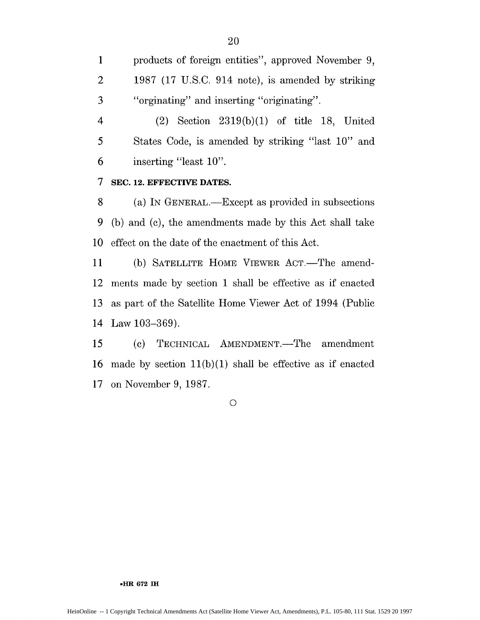1 products of foreign entities", approved November 9, 2 1987 (17 U.S.C. 914 note), is amended by striking 3 "orginating" and inserting "originating".

4 (2) Section 2319(b)(1) of title 18, United 5 States Code, is amended by striking "last 10" and 6 inserting "least 10".

# **7 SEC. 12. EFFECTIVE DATES.**

8 (a) IN GENERAL.—Except as provided in subsections 9 (b) and (c), the amendments made by this Act shall take 10 effect on the date of the enactment of this Act.

11 (b) SATELLITE HOME VIEWER ACT.—The amend-12 ments made by section 1 shall be effective as if enacted 13 as part of the Satellite Home Viewer Act of 1994 (Public 14 Law 103-369).

15 (c) TECHNICAL AMENDMENT.—The amendment 16 made by section  $11(b)(1)$  shall be effective as if enacted 17 on November 9, 1987.